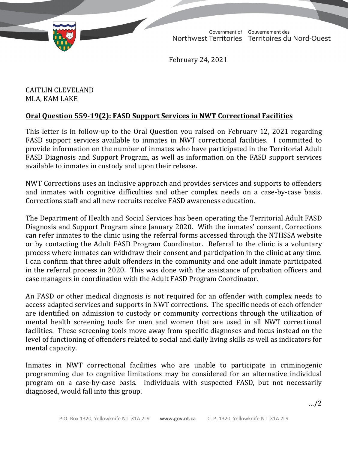

TD 322-19(2) TABLED ON FEBRUARY 25, 2021Government of Gouvernement des Northwest Territories Territoires du Nord-Ouest

February 24, 2021

CAITLIN CLEVELAND MLA, KAM LAKE

## **Oral Question 559-19(2): FASD Support Services in NWT Correctional Facilities**

This letter is in follow-up to the Oral Question you raised on February 12, 2021 regarding FASD support services available to inmates in NWT correctional facilities. I committed to provide information on the number of inmates who have participated in the Territorial Adult FASD Diagnosis and Support Program, as well as information on the FASD support services available to inmates in custody and upon their release.

NWT Corrections uses an inclusive approach and provides services and supports to offenders and inmates with cognitive difficulties and other complex needs on a case-by-case basis. Corrections staff and all new recruits receive FASD awareness education.

The Department of Health and Social Services has been operating the Territorial Adult FASD Diagnosis and Support Program since January 2020. With the inmates' consent, Corrections can refer inmates to the clinic using the referral forms accessed through the NTHSSA website or by contacting the Adult FASD Program Coordinator. Referral to the clinic is a voluntary process where inmates can withdraw their consent and participation in the clinic at any time. I can confirm that three adult offenders in the community and one adult inmate participated in the referral process in 2020. This was done with the assistance of probation officers and case managers in coordination with the Adult FASD Program Coordinator.

An FASD or other medical diagnosis is not required for an offender with complex needs to access adapted services and supports in NWT corrections. The specific needs of each offender are identified on admission to custody or community corrections through the utilization of mental health screening tools for men and women that are used in all NWT correctional facilities. These screening tools move away from specific diagnoses and focus instead on the level of functioning of offenders related to social and daily living skills as well as indicators for mental capacity.

Inmates in NWT correctional facilities who are unable to participate in criminogenic programming due to cognitive limitations may be considered for an alternative individual program on a case-by-case basis. Individuals with suspected FASD, but not necessarily diagnosed, would fall into this group.

…/2